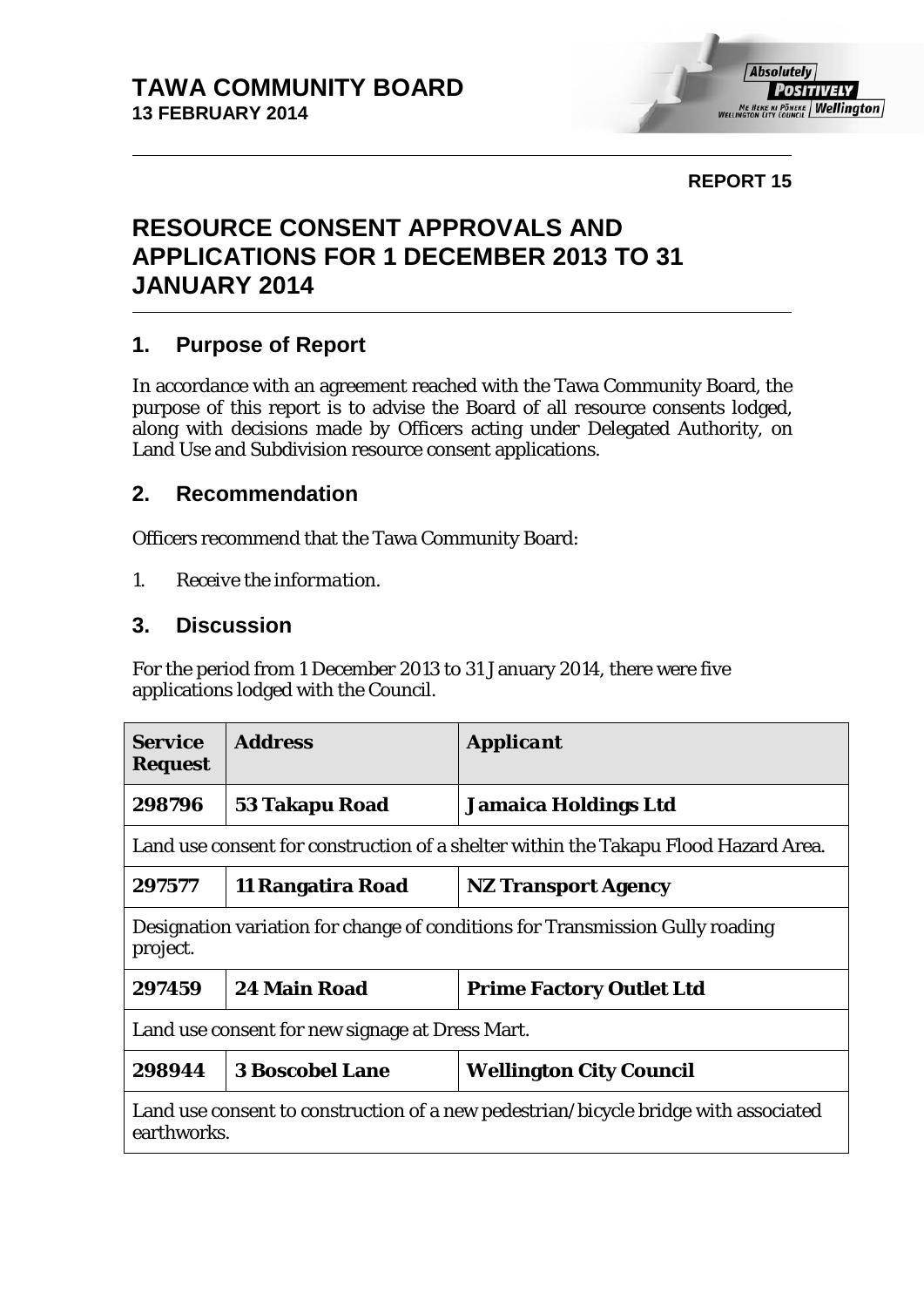#### **REPORT 15**

# **RESOURCE CONSENT APPROVALS AND APPLICATIONS FOR 1 DECEMBER 2013 TO 31 JANUARY 2014**

### **1. Purpose of Report**

In accordance with an agreement reached with the Tawa Community Board, the purpose of this report is to advise the Board of all resource consents lodged, along with decisions made by Officers acting under Delegated Authority, on Land Use and Subdivision resource consent applications.

#### **2. Recommendation**

Officers recommend that the Tawa Community Board:

*1. Receive the information.*

#### **3. Discussion**

For the period from 1 December 2013 to 31 January 2014, there were five applications lodged with the Council.

| <b>Service</b><br><b>Request</b>                                                                   | <b>Address</b>         | <b>Applicant</b>                |  |  |
|----------------------------------------------------------------------------------------------------|------------------------|---------------------------------|--|--|
| 298796                                                                                             | 53 Takapu Road         | <b>Jamaica Holdings Ltd</b>     |  |  |
| Land use consent for construction of a shelter within the Takapu Flood Hazard Area.                |                        |                                 |  |  |
| 297577                                                                                             | 11 Rangatira Road      | <b>NZ Transport Agency</b>      |  |  |
| Designation variation for change of conditions for Transmission Gully roading<br>project.          |                        |                                 |  |  |
| 297459                                                                                             | 24 Main Road           | <b>Prime Factory Outlet Ltd</b> |  |  |
| Land use consent for new signage at Dress Mart.                                                    |                        |                                 |  |  |
| 298944                                                                                             | <b>3 Boscobel Lane</b> | <b>Wellington City Council</b>  |  |  |
| Land use consent to construction of a new pedestrian/bicycle bridge with associated<br>earthworks. |                        |                                 |  |  |